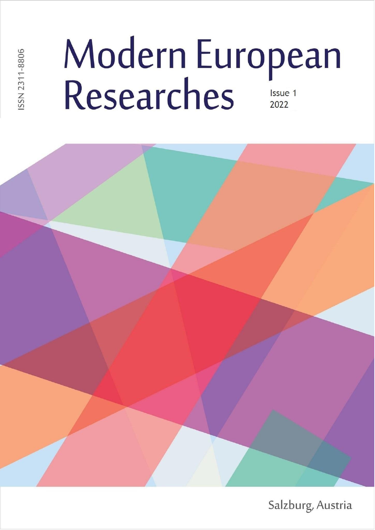# Modern European<br>Researches

Salzburg, Austria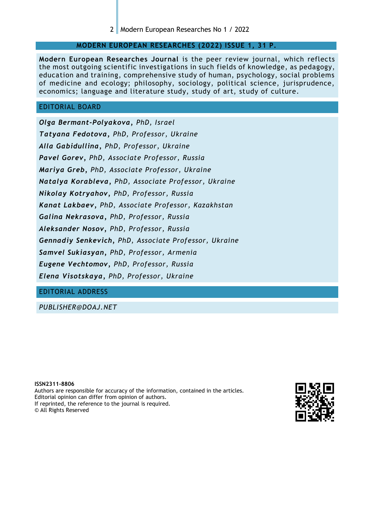#### **MODERN EUROPEAN RESEARCHES (2022) ISSUE 1, 31 P.**

**Modern European Researches Journal** is the peer review journal, which reflects the most outgoing scientific investigations in such fields of knowledge, as pedagogy, education and training, comprehensive study of human, psychology, social problems of medicine and ecology; philosophy, sociology, political science, jurisprudence, economics; language and literature study, study of art, study of culture.

#### EDITORIAL BOARD

*Olga Bermant-Polyakova, PhD, Israel Tatyana Fedotova, PhD, Professor, Ukraine Alla Gabidullina, PhD, Professor, Ukraine Pavel Gorev, PhD, Associate Professor, Russia Mariya Greb, PhD, Associate Professor, Ukraine Natalya Korableva, PhD, Associate Professor, Ukraine Nikolay Kotryahov, PhD, Professor, Russia Kanat Lakbaev, PhD, Associate Professor, Kazakhstan Galina Nekrasova, PhD, Professor, Russia Aleksander Nosov, PhD, Professor, Russia Gennadiy Senkevich, PhD, Associate Professor, Ukraine Samvel Sukiasyan, PhD, Professor, Armenia Eugene Vechtomov, PhD, Professor, Russia Elena Visotskaya, PhD, Professor, Ukraine*

EDITORIAL ADDRESS

*PUBLISHER@DOAJ.NET*

**ISSN2311-8806** Authors are responsible for accuracy of the information, contained in the articles. Editorial opinion can differ from opinion of authors. If reprinted, the reference to the journal is required. © All Rights Reserved

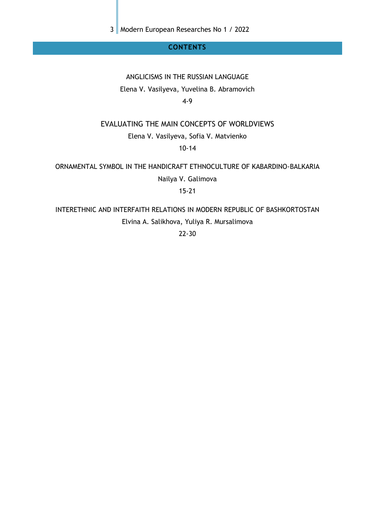# **CONTENTS**

ANGLICISMS IN THE RUSSIAN LANGUAGE Elena V. Vasilyeva, Yuvelina B. Abramovich 4-9

EVALUATING THE MAIN CONCEPTS OF WORLDVIEWS

Elena V. Vasilyeva, Sofia V. Matvienko

10-14

ORNAMENTAL SYMBOL IN THE HANDICRAFT ETHNOCULTURE OF KABARDINO-BALKARIA Nailya V. Galimova

15-21

INTERETHNIC AND INTERFAITH RELATIONS IN MODERN REPUBLIC OF BASHKORTOSTAN Elvina A. Salikhova, Yuliya R. Mursalimova

22-30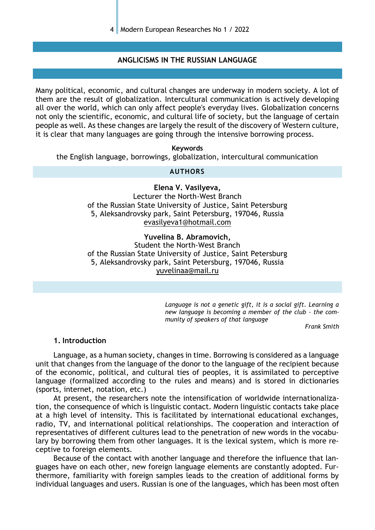# **ANGLICISMS IN THE RUSSIAN LANGUAGE**

Many political, economic, and cultural changes are underway in modern society. A lot of them are the result of globalization. Intercultural communication is actively developing all over the world, which can only affect people's everyday lives. Globalization concerns not only the scientific, economic, and cultural life of society, but the language of certain people as well. As these changes are largely the result of the discovery of Western culture, it is clear that many languages are going through the intensive borrowing process.

**Keywords**

the English language, borrowings, globalization, intercultural communication

#### **AUTHORS**

**Elena V. Vasilyeva,**

Lecturer the North-West Branch of the Russian State University of Justice, Saint Petersburg 5, Aleksandrovsky park, Saint Petersburg, 197046, Russia evasilyeva1@hotmail.com

# **Yuvelina B. Abramovich,**

Student the North-West Branch of the Russian State University of Justice, Saint Petersburg 5, Aleksandrovsky park, Saint Petersburg, 197046, Russia yuvelinaa@mail.ru

> *Language is not a genetic gift, it is a social gift. Learning a new language is becoming a member of the club – the community of speakers of that language*

> > *Frank Smith*

#### **1. Introduction**

Language, as a human society, changes in time. Borrowing is considered as a language unit that changes from the language of the donor to the language of the recipient because of the economic, political, and cultural ties of peoples, it is assimilated to perceptive language (formalized according to the rules and means) and is stored in dictionaries (sports, internet, notation, etc.)

At present, the researchers note the intensification of worldwide internationalization, the consequence of which is linguistic contact. Modern linguistic contacts take place at a high level of intensity. This is facilitated by international educational exchanges, radio, TV, and international political relationships. The cooperation and interaction of representatives of different cultures lead to the penetration of new words in the vocabulary by borrowing them from other languages. It is the lexical system, which is more receptive to foreign elements.

Because of the contact with another language and therefore the influence that languages have on each other, new foreign language elements are constantly adopted. Furthermore, familiarity with foreign samples leads to the creation of additional forms by individual languages and users. Russian is one of the languages, which has been most often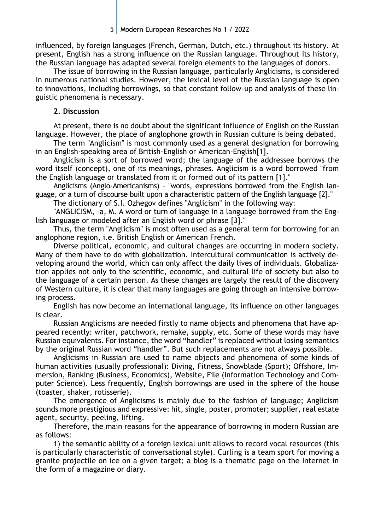influenced, by foreign languages (French, German, Dutch, etc.) throughout its history. At present, English has a strong influence on the Russian language. Throughout its history, the Russian language has adapted several foreign elements to the languages of donors.

The issue of borrowing in the Russian language, particularly Anglicisms, is considered in numerous national studies. However, the lexical level of the Russian language is open to innovations, including borrowings, so that constant follow-up and analysis of these linguistic phenomena is necessary.

# **2. Discussion**

At present, there is no doubt about the significant influence of English on the Russian language. However, the place of anglophone growth in Russian culture is being debated.

The term "Anglicism" is most commonly used as a general designation for borrowing in an English-speaking area of British-English or American-English[1].

Anglicism is a sort of borrowed word; the language of the addressee borrows the word itself (concept), one of its meanings, phrases. Anglicism is a word borrowed "from the English language or translated from it or formed out of its pattern [1]."

Anglicisms (Anglo-Americanisms) – "words, expressions borrowed from the English language, or a turn of discourse built upon a characteristic pattern of the English language [2]."

The dictionary of S.I. Ozhegov defines "Anglicism" in the following way:

"ANGLICISM, -a, M. A word or turn of language in a language borrowed from the English language or modeled after an English word or phrase [3]."

Thus, the term "Anglicism" is most often used as a general term for borrowing for an anglophone region, i.e. British English or American French.

Diverse political, economic, and cultural changes are occurring in modern society. Many of them have to do with globalization. Intercultural communication is actively developing around the world, which can only affect the daily lives of individuals. Globalization applies not only to the scientific, economic, and cultural life of society but also to the language of a certain person. As these changes are largely the result of the discovery of Western culture, it is clear that many languages are going through an intensive borrowing process.

English has now become an international language, its influence on other languages is clear.

Russian Anglicisms are needed firstly to name objects and phenomena that have appeared recently: writer, patchwork, remake, supply, etc. Some of these words may have Russian equivalents. For instance, the word "handler" is replaced without losing semantics by the original Russian word "handler". But such replacements are not always possible.

Anglicisms in Russian are used to name objects and phenomena of some kinds of human activities (usually professional): Diving, Fitness, Snowblade (Sport); Offshore, Immersion, Ranking (Business, Economics), Website, File (Information Technology and Computer Science). Less frequently, English borrowings are used in the sphere of the house (toaster, shaker, rotisserie).

The emergence of Anglicisms is mainly due to the fashion of language; Anglicism sounds more prestigious and expressive: hit, single, poster, promoter; supplier, real estate agent, security, peeling, lifting.

Therefore, the main reasons for the appearance of borrowing in modern Russian are as follows:

1) the semantic ability of a foreign lexical unit allows to record vocal resources (this is particularly characteristic of conversational style). Curling is a team sport for moving a granite projectile on ice on a given target; a blog is a thematic page on the Internet in the form of a magazine or diary.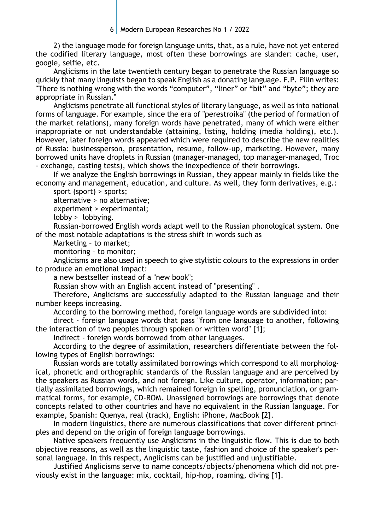2) the language mode for foreign language units, that, as a rule, have not yet entered the codified literary language, most often these borrowings are slander: cache, user, google, selfie, etc.

Anglicisms in the late twentieth century began to penetrate the Russian language so quickly that many linguists began to speak English as a donating language. F.P. Filin writes: "There is nothing wrong with the words "computer", "liner" or "bit" and "byte"; they are appropriate in Russian."

Anglicisms penetrate all functional styles of literary language, as well as into national forms of language. For example, since the era of "perestroika" (the period of formation of the market relations), many foreign words have penetrated, many of which were either inappropriate or not understandable (attaining, listing, holding (media holding), etc.). However, later foreign words appeared which were required to describe the new realities of Russia: businessperson, presentation, resume, follow-up, marketing. However, many borrowed units have droplets in Russian (manager-managed, top manager-managed, Troc - exchange, casting tests), which shows the inexpedience of their borrowings.

If we analyze the English borrowings in Russian, they appear mainly in fields like the economy and management, education, and culture. As well, they form derivatives, e.g.:

sport (sport) > sports;

alternative > no alternative;

experiment > experimental;

lobby > lobbying.

Russian-borrowed English words adapt well to the Russian phonological system. One of the most notable adaptations is the stress shift in words such as

Marketing – to market;

monitoring – to monitor;

Anglicisms are also used in speech to give stylistic colours to the expressions in order to produce an emotional impact:

a new bestseller instead of a "new book";

Russian show with an English accent instead of "presenting" .

Therefore, Anglicisms are successfully adapted to the Russian language and their number keeps increasing.

According to the borrowing method, foreign language words are subdivided into:

direct - foreign language words that pass "from one language to another, following the interaction of two peoples through spoken or written word" [1];

Indirect - foreign words borrowed from other languages.

According to the degree of assimilation, researchers differentiate between the following types of English borrowings:

Russian words are totally assimilated borrowings which correspond to all morphological, phonetic and orthographic standards of the Russian language and are perceived by the speakers as Russian words, and not foreign. Like culture, operator, information; partially assimilated borrowings, which remained foreign in spelling, pronunciation, or grammatical forms, for example, CD-ROM. Unassigned borrowings are borrowings that denote concepts related to other countries and have no equivalent in the Russian language. For example, Spanish: Quenya, real (track), English: iPhone, MacBook [2].

In modern linguistics, there are numerous classifications that cover different principles and depend on the origin of foreign language borrowings.

Native speakers frequently use Anglicisms in the linguistic flow. This is due to both objective reasons, as well as the linguistic taste, fashion and choice of the speaker's personal language. In this respect, Anglicisms can be justified and unjustifiable.

Justified Anglicisms serve to name concepts/objects/phenomena which did not previously exist in the language: mix, cocktail, hip-hop, roaming, diving [1].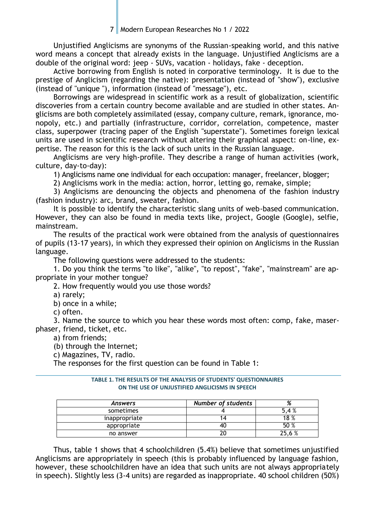Unjustified Anglicisms are synonyms of the Russian-speaking world, and this native word means a concept that already exists in the language. Unjustified Anglicisms are a double of the original word: jeep - SUVs, vacation - holidays, fake - deception.

Active borrowing from English is noted in corporative terminology. It is due to the prestige of Anglicism (regarding the native): presentation (instead of "show"), exclusive (instead of "unique "), information (instead of "message"), etc.

Borrowings are widespread in scientific work as a result of globalization, scientific discoveries from a certain country become available and are studied in other states. Anglicisms are both completely assimilated (essay, company culture, remark, ignorance, monopoly, etc.) and partially (infrastructure, corridor, correlation, competence, master class, superpower (tracing paper of the English "superstate"). Sometimes foreign lexical units are used in scientific research without altering their graphical aspect: on-line, expertise. The reason for this is the lack of such units in the Russian language.

Anglicisms are very high-profile. They describe a range of human activities (work, culture, day-to-day):

1) Anglicisms name one individual for each occupation: manager, freelancer, blogger;

2) Anglicisms work in the media: action, horror, letting go, remake, simple;

3) Anglicisms are denouncing the objects and phenomena of the fashion industry (fashion industry): arc, brand, sweater, fashion.

It is possible to identify the characteristic slang units of web-based communication. However, they can also be found in media texts like, project, Google (Google), selfie, mainstream.

The results of the practical work were obtained from the analysis of questionnaires of pupils (13-17 years), in which they expressed their opinion on Anglicisms in the Russian language.

The following questions were addressed to the students:

1. Do you think the terms "to like", "alike", "to repost", "fake", "mainstream" are appropriate in your mother tongue?

2. How frequently would you use those words?

a) rarely;

b) once in a while;

c) often.

3. Name the source to which you hear these words most often: comp, fake, maserphaser, friend, ticket, etc.

a) from friends;

(b) through the Internet;

c) Magazines, TV, radio.

The responses for the first question can be found in Table 1:

#### **TABLE 1. THE RESULTS OF THE ANALYSIS OF STUDENTS' QUESTIONNAIRES ON THE USE OF UNJUSTIFIED ANGLICISMS IN SPEECH**

| <b>Answers</b> | Number of students |      |
|----------------|--------------------|------|
| sometimes      |                    | 5.4% |
| inappropriate  |                    | 18 % |
| appropriate    | 4U                 | 50 % |
| no answer      |                    | . ი  |

Thus, table 1 shows that 4 schoolchildren (5.4%) believe that sometimes unjustified Anglicisms are appropriately in speech (this is probably influenced by language fashion, however, these schoolchildren have an idea that such units are not always appropriately in speech). Slightly less (3-4 units) are regarded as inappropriate. 40 school children (50%)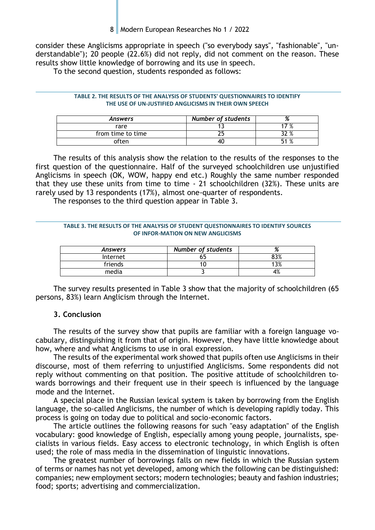consider these Anglicisms appropriate in speech ("so everybody says", "fashionable", "understandable"); 20 people (22.6%) did not reply, did not comment on the reason. These results show little knowledge of borrowing and its use in speech.

To the second question, students responded as follows:

#### **TABLE 2. THE RESULTS OF THE ANALYSIS OF STUDENTS' QUESTIONNAIRES TO IDENTIFY THE USE OF UN-JUSTIFIED ANGLICISMS IN THEIR OWN SPEECH**

| Answers           | <b>Number of students</b> |          |
|-------------------|---------------------------|----------|
| rare              |                           | $\alpha$ |
| from time to time |                           | $\Omega$ |
| often             | 4U                        |          |

The results of this analysis show the relation to the results of the responses to the first question of the questionnaire. Half of the surveyed schoolchildren use unjustified Anglicisms in speech (OK, WOW, happy end etc.) Roughly the same number responded that they use these units from time to time - 21 schoolchildren (32%). These units are rarely used by 13 respondents (17%), almost one-quarter of respondents.

The responses to the third question appear in Table 3.

#### **TABLE 3. THE RESULTS OF THE ANALYSIS OF STUDENT QUESTIONNAIRES TO IDENTIFY SOURCES OF INFOR-MATION ON NEW ANGLICISMS**

| <b>Answers</b> | <b>Number of students</b> |     |
|----------------|---------------------------|-----|
| Internet       |                           | 33% |
| friends        |                           | 3%  |
| media          |                           |     |

The survey results presented in Table 3 show that the majority of schoolchildren (65 persons, 83%) learn Anglicism through the Internet.

## **3. Conclusion**

The results of the survey show that pupils are familiar with a foreign language vocabulary, distinguishing it from that of origin. However, they have little knowledge about how, where and what Anglicisms to use in oral expression.

The results of the experimental work showed that pupils often use Anglicisms in their discourse, most of them referring to unjustified Anglicisms. Some respondents did not reply without commenting on that position. The positive attitude of schoolchildren towards borrowings and their frequent use in their speech is influenced by the language mode and the Internet.

A special place in the Russian lexical system is taken by borrowing from the English language, the so-called Anglicisms, the number of which is developing rapidly today. This process is going on today due to political and socio-economic factors.

The article outlines the following reasons for such "easy adaptation" of the English vocabulary: good knowledge of English, especially among young people, journalists, specialists in various fields. Easy access to electronic technology, in which English is often used; the role of mass media in the dissemination of linguistic innovations.

The greatest number of borrowings falls on new fields in which the Russian system of terms or names has not yet developed, among which the following can be distinguished: companies; new employment sectors; modern technologies; beauty and fashion industries; food; sports; advertising and commercialization.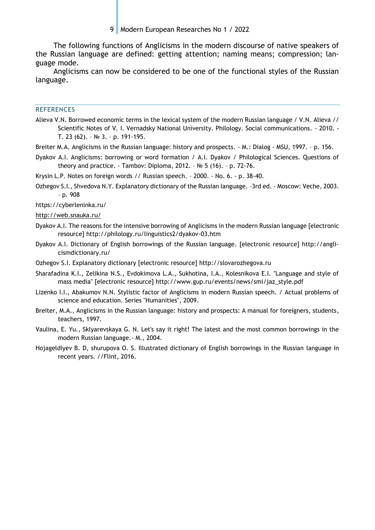The following functions of Anglicisms in the modern discourse of native speakers of the Russian language are defined: getting attention; naming means; compression; language mode.

Anglicisms can now be considered to be one of the functional styles of the Russian language.

#### **REFERENCES**

- Alieva V.N. Borrowed economic terms in the lexical system of the modern Russian language / V.N. Alieva // Scientific Notes of V. I. Vernadsky National University. Philology. Social communications. - 2010. - T. 23 (62). – № 3. – p. 191-195.
- Breiter M.A. Anglicisms in the Russian language: history and prospects. M.: Dialog MSU, 1997. p. 156.
- Dyakov A.I. Anglicisms: borrowing or word formation / A.I. Dyakov / Philological Sciences. Questions of theory and practice. - Tambov: Diploma, 2012. – № 5 (16). – p. 72-76.
- Krysin L.P. Notes on foreign words // Russian speech. 2000. No. 6. p. 38-40.
- Ozhegov S.I., Shvedova N.Y. Explanatory dictionary of the Russian language. -3rd ed. Moscow: Veche, 2003. – p. 908

https://cyberleninka.ru/

<http://web.snauka.ru/>

- Dyakov A.I. The reasons for the intensive borrowing of Anglicisms in the modern Russian language [electronic resource] http://philology.ru/linguistics2/dyakov-03.htm
- Dyakov A.I. Dictionary of English borrowings of the Russian language. [electronic resource] http://anglicismdictionary.ru/
- Ozhegov S.I. Explanatory dictionary [electronic resource] http://slovarozhegova.ru
- Sharafadina K.I., Zelikina N.S., Evdokimova L.A., Sukhotina, I.A., Kolesnikova E.I. "Language and style of mass media" [electronic resource] http://www.gup.ru/events/news/smi/jaz\_style.pdf
- Lizenko I.I., Abakumov N.N. Stylistic factor of Anglicisms in modern Russian speech. / Actual problems of science and education. Series "Humanities", 2009.
- Breiter, M.A., Anglicisms in the Russian language: history and prospects: A manual for foreigners, students, teachers, 1997.
- Vaulina, E. Yu., Sklyarevskaya G. N. Let's say it right! The latest and the most common borrowings in the modern Russian language.- M., 2004.
- Hojageldiyev B. D, shurupova O. S. Illustrated dictionary of English borrowings in the Russian language in recent years. //Flint, 2016.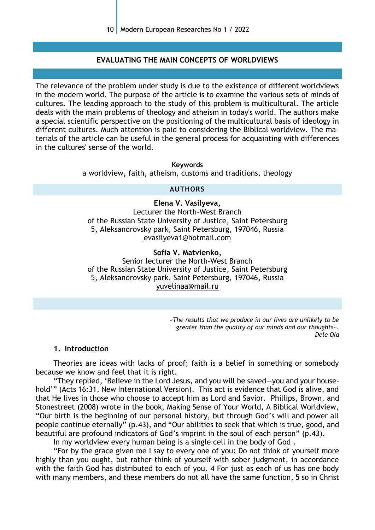# **EVALUATING THE MAIN CONCEPTS OF WORLDVIEWS**

The relevance of the problem under study is due to the existence of different worldviews in the modern world. The purpose of the article is to examine the various sets of minds of cultures. The leading approach to the study of this problem is multicultural. The article deals with the main problems of theology and atheism in today's world. The authors make a special scientific perspective on the positioning of the multicultural basis of ideology in different cultures. Much attention is paid to considering the Biblical worldview. The materials of the article can be useful in the general process for acquainting with differences in the cultures' sense of the world.

**Keywords**

a worldview, faith, atheism, customs and traditions, theology

# **AUTHORS**

**Elena V. Vasilyeva,** Lecturer the North-West Branch of the Russian State University of Justice, Saint Petersburg 5, Aleksandrovsky park, Saint Petersburg, 197046, Russia evasilyeva1@hotmail.com

**Sofia V. Matvienko,** Senior lecturer the North-West Branch of the Russian State University of Justice, Saint Petersburg 5, Aleksandrovsky park, Saint Petersburg, 197046, Russia yuvelinaa@mail.ru

> *«The results that we produce in our lives are unlikely to be greater than the quality of our minds and our thoughts». Dele Ola*

# **1. Introduction**

Theories are ideas with lacks of proof; faith is a belief in something or somebody because we know and feel that it is right.

"They replied, 'Believe in the Lord Jesus, and you will be saved—you and your household'" (Acts 16:31, New International Version). This act is evidence that God is alive, and that He lives in those who choose to accept him as Lord and Savior. Phillips, Brown, and Stonestreet (2008) wrote in the book, Making Sense of Your World, A Biblical Worldview, "Our birth is the beginning of our personal history, but through God's will and power all people continue eternally" (p.43), and "Our abilities to seek that which is true, good, and beautiful are profound indicators of God's imprint in the soul of each person" (p.43).

In my worldview every human being is a single cell in the body of God .

"For by the grace given me I say to every one of you: Do not think of yourself more highly than you ought, but rather think of yourself with sober judgment, in accordance with the faith God has distributed to each of you. 4 For just as each of us has one body with many members, and these members do not all have the same function, 5 so in Christ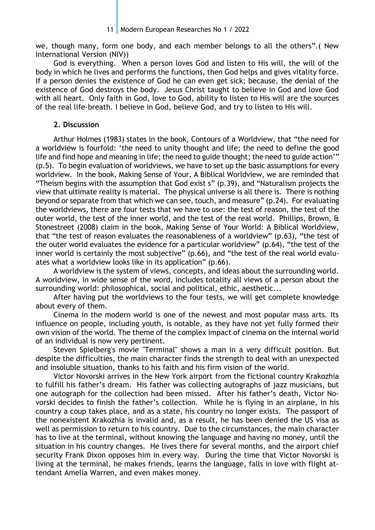we, though many, form one body, and each member belongs to all the others".( New International Version (NIV))

God is everything. When a person loves God and listen to His will, the will of the body in which he lives and performs the functions, then God helps and gives vitality force. If a person denies the existence of God he can even get sick; because, the denial of the existence of God destroys the body. Jesus Christ taught to believe in God and love God with all heart. Only faith in God, love to God, ability to listen to His will are the sources of the real life-breath. I believe in God, believe God, and try to listen to His will.

# **2. Discussion**

Arthur Holmes (1983) states in the book, Contours of a Worldview, that "the need for a worldview is fourfold: 'the need to unity thought and life; the need to define the good life and find hope and meaning in life; the need to guide thought; the need to guide action'" (p.5). To begin evaluation of worldviews, we have to set up the basic assumptions for every worldview. In the book, Making Sense of Your, A Biblical Worldview, we are reminded that "Theism begins with the assumption that God exist s" (p.39), and "Naturalism projects the view that ultimate reality is material. The physical universe is all there is. There is nothing beyond or separate from that which we can see, touch, and measure" (p.24). For evaluating the worldviews, there are four tests that we have to use: the test of reason, the test of the outer world, the test of the inner world, and the test of the real world. Phillips, Brown, & Stonestreet (2008) claim in the book, Making Sense of Your World: A Biblical Worldview, that "the test of reason evaluates the reasonableness of a worldview" (p.63), "the test of the outer world evaluates the evidence for a particular worldview" (p.64), "the test of the inner world is certainly the most subjective" (p.66), and "the test of the real world evaluates what a worldview looks like in its application" (p.66).

A worldview is the system of views, concepts, and ideas about the surrounding world. A worldview, in wide sense of the word, includes totality all views of a person about the surrounding world: philosophical, social and political, ethic, aesthetic...

After having put the worldviews to the four tests, we will get complete knowledge about every of them.

Cinema in the modern world is one of the newest and most popular mass arts. Its influence on people, including youth, is notable, as they have not yet fully formed their own vision of the world. The theme of the complex impact of cinema on the internal world of an individual is now very pertinent.

Steven Spielberg's movie "Terminal" shows a man in a very difficult position. But despite the difficulties, the main character finds the strength to deal with an unexpected and insoluble situation, thanks to his faith and his firm vision of the world.

Victor Novorski arrives in the New York airport from the fictional country Krakozhia to fulfill his father's dream. His father was collecting autographs of jazz musicians, but one autograph for the collection had been missed. After his father's death, Victor Novorski decides to finish the father's collection. While he is flying in an airplane, in his country a coup takes place, and as a state, his country no longer exists. The passport of the nonexistent Krakozhia is invalid and, as a result, he has been denied the US visa as well as permission to return to his country. Due to the circumstances, the main character has to live at the terminal, without knowing the language and having no money, until the situation in his country changes. He lives there for several months, and the airport chief security Frank Dixon opposes him in every way. During the time that Victor Novorski is living at the terminal, he makes friends, learns the language, falls in love with flight attendant Amelia Warren, and even makes money.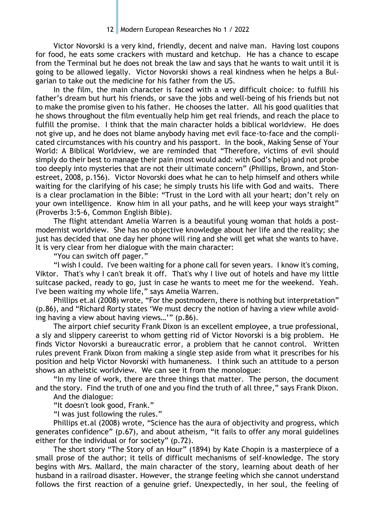Victor Novorski is a very kind, friendly, decent and naive man. Having lost coupons for food, he eats some crackers with mustard and ketchup. He has a chance to escape from the Terminal but he does not break the law and says that he wants to wait until it is going to be allowed legally. Victor Novorski shows a real kindness when he helps a Bulgarian to take out the medicine for his father from the US.

In the film, the main character is faced with a very difficult choice: to fulfill his father's dream but hurt his friends, or save the jobs and well-being of his friends but not to make the promise given to his father. He chooses the latter. All his good qualities that he shows throughout the film eventually help him get real friends, and reach the place to fulfill the promise. I think that the main character holds a biblical worldview. He does not give up, and he does not blame anybody having met evil face-to-face and the complicated circumstances with his country and his passport. In the book, Making Sense of Your World: A Biblical Worldview, we are reminded that "Therefore, victims of evil should simply do their best to manage their pain (most would add: with God's help) and not probe too deeply into mysteries that are not their ultimate concern" (Phillips, Brown, and Stonestreet, 2008, p.156). Victor Novorski does what he can to help himself and others while waiting for the clarifying of his case; he simply trusts his life with God and waits. There is a clear proclamation in the Bible: "Trust in the Lord with all your heart; don't rely on your own intelligence. Know him in all your paths, and he will keep your ways straight" (Proverbs 3:5-6, Common English Bible).

The flight attendant Amelia Warren is a beautiful young woman that holds a postmodernist worldview. She has no objective knowledge about her life and the reality; she just has decided that one day her phone will ring and she will get what she wants to have. It is very clear from her dialogue with the main character:

"You can switch off pager."

"I wish I could. I've been waiting for a phone call for seven years. I know it's coming, Viktor. That's why I can't break it off. That's why I live out of hotels and have my little suitcase packed, ready to go, just in case he wants to meet me for the weekend. Yeah. I've been waiting my whole life," says Amelia Warren.

Phillips et.al (2008) wrote, "For the postmodern, there is nothing but interpretation" (p.86), and "Richard Rorty states 'We must decry the notion of having a view while avoiding having a view about having views…'" (p.86).

The airport chief security Frank Dixon is an excellent employee, a true professional, a sly and slippery careerist to whom getting rid of Victor Novorski is a big problem. He finds Victor Novorski a bureaucratic error, a problem that he cannot control. Written rules prevent Frank Dixon from making a single step aside from what it prescribes for his position and help Victor Novorski with humaneness. I think such an attitude to a person shows an atheistic worldview. We can see it from the monologue:

"In my line of work, there are three things that matter. The person, the document and the story. Find the truth of one and you find the truth of all three," says Frank Dixon.

And the dialogue:

"It doesn't look good, Frank."

"I was just following the rules."

Phillips et.al (2008) wrote, "Science has the aura of objectivity and progress, which generates confidence" (p.67), and about atheism, "it fails to offer any moral guidelines either for the individual or for society" (p.72).

The short story "The Story of an Hour" (1894) by Kate Chopin is a masterpiece of a small prose of the author; it tells of difficult mechanisms of self-knowledge. The story begins with Mrs. Mallard, the main character of the story, learning about death of her husband in a railroad disaster. However, the strange feeling which she cannot understand follows the first reaction of a genuine grief. Unexpectedly, in her soul, the feeling of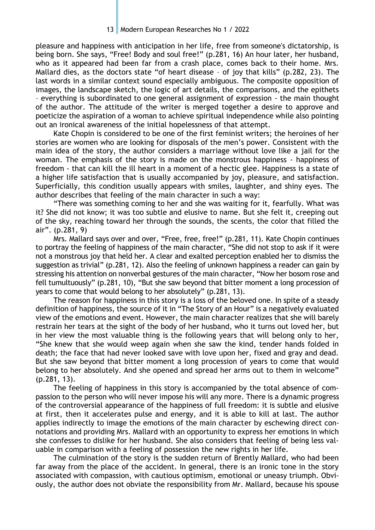pleasure and happiness with anticipation in her life, free from someone's dictatorship, is being born. She says, "Free! Body and soul free!" (p.281, 16) An hour later, her husband, who as it appeared had been far from a crash place, comes back to their home. Mrs. Mallard dies, as the doctors state "of heart disease – of joy that kills" (p.282, 23). The last words in a similar context sound especially ambiguous. The composite opposition of images, the landscape sketch, the logic of art details, the comparisons, and the epithets – everything is subordinated to one general assignment of expression - the main thought of the author. The attitude of the writer is merged together a desire to approve and poeticize the aspiration of a woman to achieve spiritual independence while also pointing out an ironical awareness of the initial hopelessness of that attempt.

Kate Chopin is considered to be one of the first feminist writers; the heroines of her stories are women who are looking for disposals of the men's power. Consistent with the main idea of the story, the author considers a marriage without love like a jail for the woman. The emphasis of the story is made on the monstrous happiness - happiness of freedom - that can kill the ill heart in a moment of a hectic glee. Happiness is a state of a higher life satisfaction that is usually accompanied by joy, pleasure, and satisfaction. Superficially, this condition usually appears with smiles, laughter, and shiny eyes. The author describes that feeling of the main character in such a way:

"There was something coming to her and she was waiting for it, fearfully. What was it? She did not know; it was too subtle and elusive to name. But she felt it, creeping out of the sky, reaching toward her through the sounds, the scents, the color that filled the air". (p.281, 9)

Mrs. Mallard says over and over, "Free, free, free!" (p.281, 11). Kate Chopin continues to portray the feeling of happiness of the main character, "She did not stop to ask if it were not a monstrous joy that held her. A clear and exalted perception enabled her to dismiss the suggestion as trivial" (p.281, 12). Also the feeling of unknown happiness a reader can gain by stressing his attention on nonverbal gestures of the main character, "Now her bosom rose and fell tumultuously" (p.281, 10), "But she saw beyond that bitter moment a long procession of years to come that would belong to her absolutely" (p.281, 13).

The reason for happiness in this story is a loss of the beloved one. In spite of a steady definition of happiness, the source of it in "The Story of an Hour" is a negatively evaluated view of the emotions and event. However, the main character realizes that she will barely restrain her tears at the sight of the body of her husband, who it turns out loved her, but in her view the most valuable thing is the following years that will belong only to her, "She knew that she would weep again when she saw the kind, tender hands folded in death; the face that had never looked save with love upon her, fixed and gray and dead. But she saw beyond that bitter moment a long procession of years to come that would belong to her absolutely. And she opened and spread her arms out to them in welcome" (p.281, 13).

The feeling of happiness in this story is accompanied by the total absence of compassion to the person who will never impose his will any more. There is a dynamic progress of the controversial appearance of the happiness of full freedom: it is subtle and elusive at first, then it accelerates pulse and energy, and it is able to kill at last. The author applies indirectly to image the emotions of the main character by eschewing direct connotations and providing Mrs. Mallard with an opportunity to express her emotions in which she confesses to dislike for her husband. She also considers that feeling of being less valuable in comparison with a feeling of possession the new rights in her life.

The culmination of the story is the sudden return of Brently Mallard, who had been far away from the place of the accident. In general, there is an ironic tone in the story associated with compassion, with cautious optimism, emotional or uneasy triumph. Obviously, the author does not obviate the responsibility from Mr. Mallard, because his spouse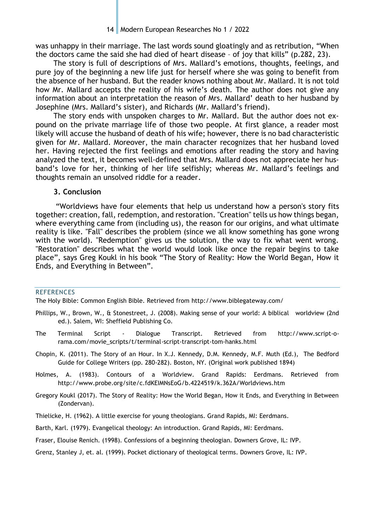was unhappy in their marriage. The last words sound gloatingly and as retribution, "When the doctors came the said she had died of heart disease – of joy that kills" (p.282, 23).

The story is full of descriptions of Mrs. Mallard's emotions, thoughts, feelings, and pure joy of the beginning a new life just for herself where she was going to benefit from the absence of her husband. But the reader knows nothing about Mr. Mallard. It is not told how Mr. Mallard accepts the reality of his wife's death. The author does not give any information about an interpretation the reason of Mrs. Mallard' death to her husband by Josephine (Mrs. Mallard's sister), and Richards (Mr. Mallard's friend).

The story ends with unspoken charges to Mr. Mallard. But the author does not expound on the private marriage life of those two people. At first glance, a reader most likely will accuse the husband of death of his wife; however, there is no bad characteristic given for Mr. Mallard. Moreover, the main character recognizes that her husband loved her. Having rejected the first feelings and emotions after reading the story and having analyzed the text, it becomes well-defined that Mrs. Mallard does not appreciate her husband's love for her, thinking of her life selfishly; whereas Mr. Mallard's feelings and thoughts remain an unsolved riddle for a reader.

### **3. Conclusion**

"Worldviews have four elements that help us understand how a person's story fits together: creation, fall, redemption, and restoration. "Creation" tells us how things began, where everything came from (including us), the reason for our origins, and what ultimate reality is like. "Fall" describes the problem (since we all know something has gone wrong with the world). "Redemption" gives us the solution, the way to fix what went wrong. "Restoration" describes what the world would look like once the repair begins to take place", says Greg Koukl in his book "The Story of Reality: How the World Began, How it Ends, and Everything in Between".

#### **REFERENCES**

The Holy Bible: Common English Bible. Retrieved from http://www.biblegateway.com/

- Phillips, W., Brown, W., & Stonestreet, J. (2008). Making sense of your world: A biblical worldview (2nd ed.). Salem, WI: Sheffield Publishing Co.
- The Terminal Script Dialogue Transcript. Retrieved from http://www.script-orama.com/movie\_scripts/t/terminal-script-transcript-tom-hanks.html
- Chopin, K. (2011). The Story of an Hour. In X.J. Kennedy, D.M. Kennedy, M.F. Muth (Ed.), The Bedford Guide for College Writers (pp. 280-282). Boston, NY. (Original work published 1894)
- Holmes, A. (1983). Contours of a Worldview. Grand Rapids: Eerdmans. Retrieved from http://www.probe.org/site/c.fdKEIMNsEoG/b.4224519/k.362A/Worldviews.htm
- Gregory Koukl (2017). The Story of Reality: How the World Began, How it Ends, and Everything in Between (Zondervan).
- Thielicke, H. (1962). A little exercise for young theologians. Grand Rapids, MI: Eerdmans.
- Barth, Karl. (1979). Evangelical theology: An introduction. Grand Rapids, MI: Eerdmans.
- Fraser, Elouise Renich. (1998). Confessions of a beginning theologian. Downers Grove, IL: IVP.

Grenz, Stanley J, et. al. (1999). Pocket dictionary of theological terms. Downers Grove, IL: IVP.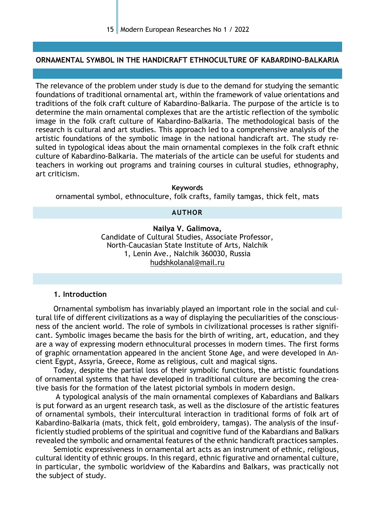# **ORNAMENTAL SYMBOL IN THE HANDICRAFT ETHNOCULTURE OF KABARDINO-BALKARIA**

The relevance of the problem under study is due to the demand for studying the semantic foundations of traditional ornamental art, within the framework of value orientations and traditions of the folk craft culture of Kabardino-Balkaria. The purpose of the article is to determine the main ornamental complexes that are the artistic reflection of the symbolic image in the folk craft culture of Kabardino-Balkaria. The methodological basis of the research is cultural and art studies. This approach led to a comprehensive analysis of the artistic foundations of the symbolic image in the national handicraft art. The study resulted in typological ideas about the main ornamental complexes in the folk craft ethnic culture of Kabardino-Balkaria. The materials of the article can be useful for students and teachers in working out programs and training courses in cultural studies, ethnography, art criticism.

**Keywords** ornamental symbol, ethnoculture, folk crafts, family tamgas, thick felt, mats

#### **AUTHOR**

#### **Nailya V. Galimova,**

Candidate of Cultural Studies, Associate Professor, North-Caucasian State Institute of Arts, Nalchik 1, Lenin Ave., Nalchik 360030, Russia hudshkolanal@mail.ru

#### **1. Introduction**

Ornamental symbolism has invariably played an important role in the social and cultural life of different civilizations as a way of displaying the peculiarities of the consciousness of the ancient world. The role of symbols in civilizational processes is rather significant. Symbolic images became the basis for the birth of writing, art, education, and they are a way of expressing modern ethnocultural processes in modern times. The first forms of graphic ornamentation appeared in the ancient Stone Age, and were developed in Ancient Egypt, Assyria, Greece, Rome as religious, cult and magical signs.

Today, despite the partial loss of their symbolic functions, the artistic foundations of ornamental systems that have developed in traditional culture are becoming the creative basis for the formation of the latest pictorial symbols in modern design.

A typological analysis of the main ornamental complexes of Kabardians and Balkars is put forward as an urgent research task, as well as the disclosure of the artistic features of ornamental symbols, their intercultural interaction in traditional forms of folk art of Kabardino-Balkaria (mats, thick felt, gold embroidery, tamgas). The analysis of the insufficiently studied problems of the spiritual and cognitive fund of the Kabardians and Balkars revealed the symbolic and ornamental features of the ethnic handicraft practices samples.

Semiotic expressiveness in ornamental art acts as an instrument of ethnic, religious, cultural identity of ethnic groups. In this regard, ethnic figurative and ornamental culture, in particular, the symbolic worldview of the Kabardins and Balkars, was practically not the subject of study.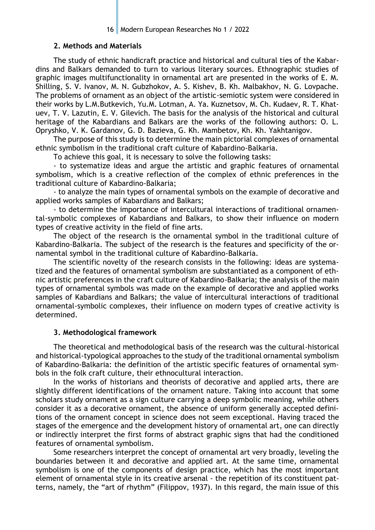# **2. Methods and Materials**

The study of ethnic handicraft practice and historical and cultural ties of the Kabardins and Balkars demanded to turn to various literary sources. Ethnographic studies of graphic images multifunctionality in ornamental art are presented in the works of E. M. Shilling, S. V. Ivanov, M. N. Gubzhokov, A. S. Kishev, B. Kh. Malbakhov, N. G. Lovpache. The problems of ornament as an object of the artistic-semiotic system were considered in their works by L.M.Butkevich, Yu.M. Lotman, A. Ya. Kuznetsov, M. Ch. Kudaev, R. T. Khatuev, T. V. Lazutin, E. V. Gilevich. The basis for the analysis of the historical and cultural heritage of the Kabardians and Balkars are the works of the following authors: O. L. Opryshko, V. K. Gardanov, G. D. Bazieva, G. Kh. Mambetov, Kh. Kh. Yakhtanigov.

The purpose of this study is to determine the main pictorial complexes of ornamental ethnic symbolism in the traditional craft culture of Kabardino-Balkaria.

To achieve this goal, it is necessary to solve the following tasks:

- to systematize ideas and argue the artistic and graphic features of ornamental symbolism, which is a creative reflection of the complex of ethnic preferences in the traditional culture of Kabardino-Balkaria;

- to analyze the main types of ornamental symbols on the example of decorative and applied works samples of Kabardians and Balkars;

- to determine the importance of intercultural interactions of traditional ornamental-symbolic complexes of Kabardians and Balkars, to show their influence on modern types of creative activity in the field of fine arts.

The object of the research is the ornamental symbol in the traditional culture of Kabardino-Balkaria. The subject of the research is the features and specificity of the ornamental symbol in the traditional culture of Kabardino-Balkaria.

The scientific novelty of the research consists in the following: ideas are systematized and the features of ornamental symbolism are substantiated as a component of ethnic artistic preferences in the craft culture of Kabardino-Balkaria; the analysis of the main types of ornamental symbols was made on the example of decorative and applied works samples of Kabardians and Balkars; the value of intercultural interactions of traditional ornamental-symbolic complexes, their influence on modern types of creative activity is determined.

## **3. Methodological framework**

The theoretical and methodological basis of the research was the cultural-historical and historical-typological approaches to the study of the traditional ornamental symbolism of Kabardino-Balkaria: the definition of the artistic specific features of ornamental symbols in the folk craft culture, their ethnocultural interaction.

In the works of historians and theorists of decorative and applied arts, there are slightly different identifications of the ornament nature. Taking into account that some scholars study ornament as a sign culture carrying a deep symbolic meaning, while others consider it as a decorative ornament, the absence of uniform generally accepted definitions of the ornament concept in science does not seem exceptional. Having traced the stages of the emergence and the development history of ornamental art, one can directly or indirectly interpret the first forms of abstract graphic signs that had the conditioned features of ornamental symbolism.

Some researchers interpret the concept of ornamental art very broadly, leveling the boundaries between it and decorative and applied art. At the same time, ornamental symbolism is one of the components of design practice, which has the most important element of ornamental style in its creative arsenal - the repetition of its constituent patterns, namely, the "art of rhythm" (Filippov, 1937). In this regard, the main issue of this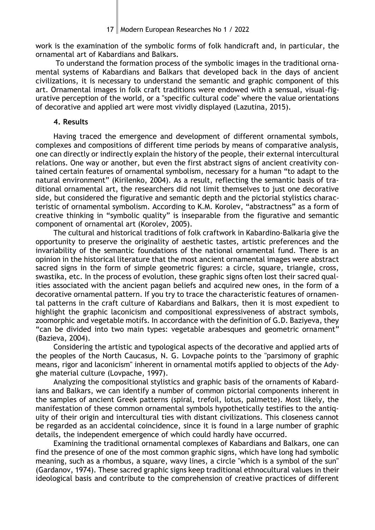work is the examination of the symbolic forms of folk handicraft and, in particular, the ornamental art of Kabardians and Balkars.

To understand the formation process of the symbolic images in the traditional ornamental systems of Kabardians and Balkars that developed back in the days of ancient civilizations, it is necessary to understand the semantic and graphic component of this art. Ornamental images in folk craft traditions were endowed with a sensual, visual-figurative perception of the world, or a "specific cultural code" where the value orientations of decorative and applied art were most vividly displayed (Lazutina, 2015).

# **4. Results**

Having traced the emergence and development of different ornamental symbols, complexes and compositions of different time periods by means of comparative analysis, one can directly or indirectly explain the history of the people, their external intercultural relations. One way or another, but even the first abstract signs of ancient creativity contained certain features of ornamental symbolism, necessary for a human "to adapt to the natural environment" (Kirilenko, 2004). As a result, reflecting the semantic basis of traditional ornamental art, the researchers did not limit themselves to just one decorative side, but considered the figurative and semantic depth and the pictorial stylistics characteristic of ornamental symbolism. According to K.M. Korolev, "abstractness" as a form of creative thinking in "symbolic quality" is inseparable from the figurative and semantic component of ornamental art (Korolev, 2005).

The cultural and historical traditions of folk craftwork in Kabardino-Balkaria give the opportunity to preserve the originality of aesthetic tastes, artistic preferences and the invariability of the semantic foundations of the national ornamental fund. There is an opinion in the historical literature that the most ancient ornamental images were abstract sacred signs in the form of simple geometric figures: a circle, square, triangle, cross, swastika, etc. In the process of evolution, these graphic signs often lost their sacred qualities associated with the ancient pagan beliefs and acquired new ones, in the form of a decorative ornamental pattern. If you try to trace the characteristic features of ornamental patterns in the craft culture of Kabardians and Balkars, then it is most expedient to highlight the graphic laconicism and compositional expressiveness of abstract symbols, zoomorphic and vegetable motifs. In accordance with the definition of G.D. Baziyeva, they "can be divided into two main types: vegetable arabesques and geometric ornament" (Bazieva, 2004).

Considering the artistic and typological aspects of the decorative and applied arts of the peoples of the North Caucasus, N. G. Lovpache points to the "parsimony of graphic means, rigor and laconicism" inherent in ornamental motifs applied to objects of the Adyghe material culture (Lovpache, 1997).

Analyzing the compositional stylistics and graphic basis of the ornaments of Kabardians and Balkars, we can identify a number of common pictorial components inherent in the samples of ancient Greek patterns (spiral, trefoil, lotus, palmette). Most likely, the manifestation of these common ornamental symbols hypothetically testifies to the antiquity of their origin and intercultural ties with distant civilizations. This closeness cannot be regarded as an accidental coincidence, since it is found in a large number of graphic details, the independent emergence of which could hardly have occurred.

Examining the traditional ornamental complexes of Kabardians and Balkars, one can find the presence of one of the most common graphic signs, which have long had symbolic meaning, such as a rhombus, a square, wavy lines, a circle "which is a symbol of the sun" (Gardanov, 1974). These sacred graphic signs keep traditional ethnocultural values in their ideological basis and contribute to the comprehension of creative practices of different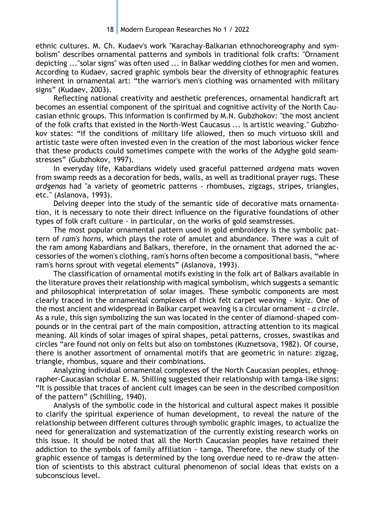ethnic cultures. M. Ch. Kudaev's work "Karachay-Balkarian ethnochoreography and symbolism" describes ornamental patterns and symbols in traditional folk crafts: "Ornament depicting ..."solar signs" was often used ... in Balkar wedding clothes for men and women. According to Kudaev, sacred graphic symbols bear the diversity of ethnographic features inherent in ornamental art: "the warrior's men's clothing was ornamented with military signs" (Kudaev, 2003).

Reflecting national creativity and aesthetic preferences, ornamental handicraft art becomes an essential component of the spiritual and cognitive activity of the North Caucasian ethnic groups. This information is confirmed by M.N. Gubzhokov: "the most ancient of the folk crafts that existed in the North-West Caucasus ... is artistic weaving." Gubzhokov states: "If the conditions of military life allowed, then so much virtuoso skill and artistic taste were often invested even in the creation of the most laborious wicker fence that these products could sometimes compete with the works of the Adyghe gold seamstresses" (Gubzhokov, 1997).

In everyday life, Kabardians widely used graceful patterned *ardgena* mats woven from swamp reeds as a decoration for beds, walls, as well as traditional prayer rugs. These *ardgenas* had "a variety of geometric patterns - rhombuses, zigzags, stripes, triangles, etc." (Aslanova, 1993).

Delving deeper into the study of the semantic side of decorative mats ornamentation, it is necessary to note their direct influence on the figurative foundations of other types of folk craft culture - in particular, on the works of gold seamstresses.

The most popular ornamental pattern used in gold embroidery is the symbolic pattern of *ram's horns*, which plays the role of amulet and abundance. There was a cult of the ram among Kabardians and Balkars, therefore, in the ornament that adorned the accessories of the women's clothing, ram's horns often become a compositional basis, "where ram's horns sprout with vegetal elements" (Aslanova, 1993).

The classification of ornamental motifs existing in the folk art of Balkars available in the literature proves their relationship with magical symbolism, which suggests a semantic and philosophical interpretation of solar images. These symbolic components are most clearly traced in the ornamental complexes of thick felt carpet weaving - kiyiz. One of the most ancient and widespread in Balkar carpet weaving is a circular ornament - *a circle*. As a rule, this sign symbolizing the sun was located in the center of diamond-shaped compounds or in the central part of the main composition, attracting attention to its magical meaning. All kinds of solar images of spiral shapes, petal patterns, crosses, swastikas and circles "are found not only on felts but also on tombstones (Kuznetsova, 1982). Of course, there is another assortment of ornamental motifs that are geometric in nature: zigzag, triangle, rhombus, square and their combinations.

Analyzing individual ornamental complexes of the North Caucasian peoples, ethnographer-Caucasian scholar E. M. Shilling suggested their relationship with tamga-like signs: "It is possible that traces of ancient cult images can be seen in the described composition of the pattern" (Schilling, 1940).

Analysis of the symbolic code in the historical and cultural aspect makes it possible to clarify the spiritual experience of human development, to reveal the nature of the relationship between different cultures through symbolic graphic images, to actualize the need for generalization and systematization of the currently existing research works on this issue. It should be noted that all the North Caucasian peoples have retained their addiction to the symbols of family affiliation - tamga. Therefore, the new study of the graphic essence of tamgas is determined by the long overdue need to re-draw the attention of scientists to this abstract cultural phenomenon of social ideas that exists on a subconscious level.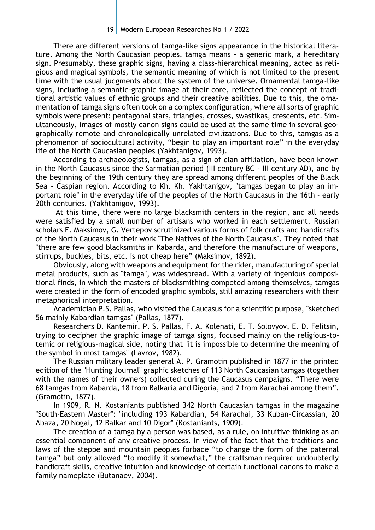There are different versions of tamga-like signs appearance in the historical literature. Among the North Caucasian peoples, tamga means - a generic mark, a hereditary sign. Presumably, these graphic signs, having a class-hierarchical meaning, acted as religious and magical symbols, the semantic meaning of which is not limited to the present time with the usual judgments about the system of the universe. Ornamental tamga-like signs, including a semantic-graphic image at their core, reflected the concept of traditional artistic values of ethnic groups and their creative abilities. Due to this, the ornamentation of tamga signs often took on a complex configuration, where all sorts of graphic symbols were present: pentagonal stars, triangles, crosses, swastikas, crescents, etc. Simultaneously, images of mostly canon signs could be used at the same time in several geographically remote and chronologically unrelated civilizations. Due to this, tamgas as a phenomenon of sociocultural activity, "begin to play an important role" in the everyday life of the North Caucasian peoples (Yakhtanigov, 1993).

According to archaeologists, tamgas, as a sign of clan affiliation, have been known in the North Caucasus since the Sarmatian period (III century BC - III century AD), and by the beginning of the 19th century they are spread among different peoples of the Black Sea - Caspian region. According to Kh. Kh. Yakhtanigov, "tamgas began to play an important role" in the everyday life of the peoples of the North Caucasus in the 16th - early 20th centuries. (Yakhtanigov, 1993).

At this time, there were no large blacksmith centers in the region, and all needs were satisfied by a small number of artisans who worked in each settlement. Russian scholars E. Maksimov, G. Vertepov scrutinized various forms of folk crafts and handicrafts of the North Caucasus in their work "The Natives of the North Caucasus". They noted that "there are few good blacksmiths in Kabarda, and therefore the manufacture of weapons, stirrups, buckles, bits, etc. is not cheap here" (Maksimov, 1892).

Obviously, along with weapons and equipment for the rider, manufacturing of special metal products, such as "tamga", was widespread. With a variety of ingenious compositional finds, in which the masters of blacksmithing competed among themselves, tamgas were created in the form of encoded graphic symbols, still amazing researchers with their metaphorical interpretation.

Academician P.S. Pallas, who visited the Caucasus for a scientific purpose, "sketched 56 mainly Kabardian tamgas" (Pallas, 1877).

Researchers D. Kantemir, P. S. Pallas, F. A. Kolenati, E. T. Solovyov, E. D. Felitsin, trying to decipher the graphic image of tamga signs, focused mainly on the religious-totemic or religious-magical side, noting that "it is impossible to determine the meaning of the symbol in most tamgas" (Lavrov, 1982).

The Russian military leader general A. P. Gramotin published in 1877 in the printed edition of the "Hunting Journal" graphic sketches of 113 North Caucasian tamgas (together with the names of their owners) collected during the Caucasus campaigns. "There were 68 tamgas from Kabarda, 18 from Balkaria and Digoria, and 7 from Karachai among them". (Gramotin, 1877).

In 1909, R. N. Kostaniants published 342 North Caucasian tamgas in the magazine "South-Eastern Master": "including 193 Kabardian, 54 Karachai, 33 Kuban-Circassian, 20 Abaza, 20 Nogai, 12 Balkar and 10 Digor" (Kostaniants, 1909).

The creation of a tamga by a person was based, as a rule, on intuitive thinking as an essential component of any creative process. In view of the fact that the traditions and laws of the steppe and mountain peoples forbade "to change the form of the paternal tamga" but only allowed "to modify it somewhat," the craftsman required undoubtedly handicraft skills, creative intuition and knowledge of certain functional canons to make a family nameplate (Butanaev, 2004).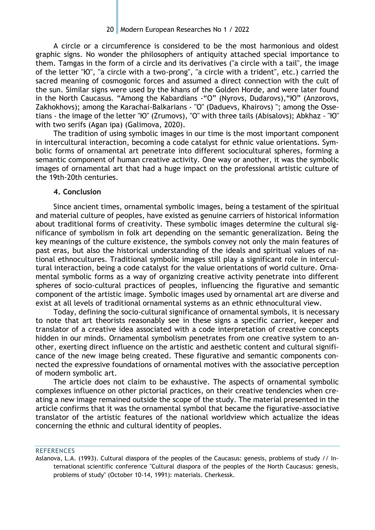A circle or a circumference is considered to be the most harmonious and oldest graphic signs. No wonder the philosophers of antiquity attached special importance to them. Tamgas in the form of a circle and its derivatives ("a circle with a tail", the image of the letter "Ю", "a circle with a two-prong", "a circle with a trident", etc.) carried the sacred meaning of cosmogonic forces and assumed a direct connection with the cult of the sun. Similar signs were used by the khans of the Golden Horde, and were later found in the North Caucasus. "Among the Kabardians -"O" (Nyrovs, Dudarovs),"Ю" (Anzorovs, Zakhokhovs); among the Karachai-Balkarians - "O" (Daduevs, Khairovs) "; among the Ossetians - the image of the letter "Ю" (Zrumovs), "O" with three tails (Abisalovs); Abkhaz - "Ю" with two serifs (Agan ipa) (Galimova, 2020).

The tradition of using symbolic images in our time is the most important component in intercultural interaction, becoming a code catalyst for ethnic value orientations. Symbolic forms of ornamental art penetrate into different sociocultural spheres, forming a semantic component of human creative activity. One way or another, it was the symbolic images of ornamental art that had a huge impact on the professional artistic culture of the 19th-20th centuries.

# **4. Conclusion**

Since ancient times, ornamental symbolic images, being a testament of the spiritual and material culture of peoples, have existed as genuine carriers of historical information about traditional forms of creativity. These symbolic images determine the cultural significance of symbolism in folk art depending on the semantic generalization. Being the key meanings of the culture existence, the symbols convey not only the main features of past eras, but also the historical understanding of the ideals and spiritual values of national ethnocultures. Traditional symbolic images still play a significant role in intercultural interaction, being a code catalyst for the value orientations of world culture. Ornamental symbolic forms as a way of organizing creative activity penetrate into different spheres of socio-cultural practices of peoples, influencing the figurative and semantic component of the artistic image. Symbolic images used by ornamental art are diverse and exist at all levels of traditional ornamental systems as an ethnic ethnocultural view.

Today, defining the socio-cultural significance of ornamental symbols, it is necessary to note that art theorists reasonably see in these signs a specific carrier, keeper and translator of a creative idea associated with a code interpretation of creative concepts hidden in our minds. Ornamental symbolism penetrates from one creative system to another, exerting direct influence on the artistic and aesthetic content and cultural significance of the new image being created. These figurative and semantic components connected the expressive foundations of ornamental motives with the associative perception of modern symbolic art.

The article does not claim to be exhaustive. The aspects of ornamental symbolic complexes influence on other pictorial practices, on their creative tendencies when creating a new image remained outside the scope of the study. The material presented in the article confirms that it was the ornamental symbol that became the figurative-associative translator of the artistic features of the national worldview which actualize the ideas concerning the ethnic and cultural identity of peoples.

#### **REFERENCES**

Aslanova, L.A. (1993). Cultural diaspora of the peoples of the Caucasus: genesis, problems of study // International scientific conference "Cultural diaspora of the peoples of the North Caucasus: genesis, problems of study" (October 10-14, 1991): materials. Cherkessk.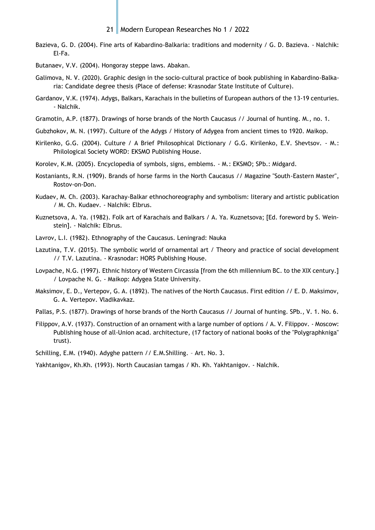- Bazieva, G. D. (2004). Fine arts of Kabardino-Balkaria: traditions and modernity / G. D. Bazieva. Nalchik: El-Fa.
- Butanaev, V.V. (2004). Hongoray steppe laws. Abakan.
- Galimova, N. V. (2020). Graphic design in the socio-cultural practice of book publishing in Kabardino-Balkaria: Candidate degree thesis (Place of defense: Krasnodar State Institute of Culture).
- Gardanov, V.K. (1974). Adygs, Balkars, Karachais in the bulletins of European authors of the 13-19 centuries. - Nalchik.
- Gramotin, A.P. (1877). Drawings of horse brands of the North Caucasus // Journal of hunting. M., no. 1.
- Gubzhokov, M. N. (1997). Culture of the Adygs / History of Adygea from ancient times to 1920. Maikop.
- Kirilenko, G.G. (2004). Culture / A Brief Philosophical Dictionary / G.G. Kirilenko, E.V. Shevtsov. M.: Philological Society WORD: EKSMO Publishing House.
- Korolev, K.M. (2005). Encyclopedia of symbols, signs, emblems. M.: EKSMO; SPb.: Midgard.
- Kostaniants, R.N. (1909). Brands of horse farms in the North Caucasus // Magazine "South-Eastern Master", Rostov-on-Don.
- Kudaev, M. Ch. (2003). Karachay-Balkar ethnochoreography and symbolism: literary and artistic publication / M. Ch. Kudaev. - Nalchik: Elbrus.
- Kuznetsova, A. Ya. (1982). Folk art of Karachais and Balkars / A. Ya. Kuznetsova; [Ed. foreword by S. Weinstein]. - Nalchik: Elbrus.
- Lavrov, L.I. (1982). Ethnography of the Caucasus. Leningrad: Nauka
- Lazutina, T.V. (2015). The symbolic world of ornamental art / Theory and practice of social development // T.V. Lazutina. - Krasnodar: HORS Publishing House.
- Lovpache, N.G. (1997). Ethnic history of Western Circassia [from the 6th millennium BC. to the XIX century.] / Lovpache N. G. - Maikop: Adygea State University.
- Maksimov, E. D., Vertepov, G. A. (1892). The natives of the North Caucasus. First edition // E. D. Maksimov, G. A. Vertepov. Vladikavkaz.
- Pallas, P.S. (1877). Drawings of horse brands of the North Caucasus // Journal of hunting. SPb., V. 1. No. 6.
- Filippov, A.V. (1937). Construction of an ornament with a large number of options / A. V. Filippov. Moscow: Publishing house of all-Union acad. architecture, (17 factory of national books of the "Polygraphkniga" trust).
- Schilling, E.M. (1940). Adyghe pattern // E.M.Shilling. Art. No. 3.

Yakhtanigov, Kh.Kh. (1993). North Caucasian tamgas / Kh. Kh. Yakhtanigov. - Nalchik.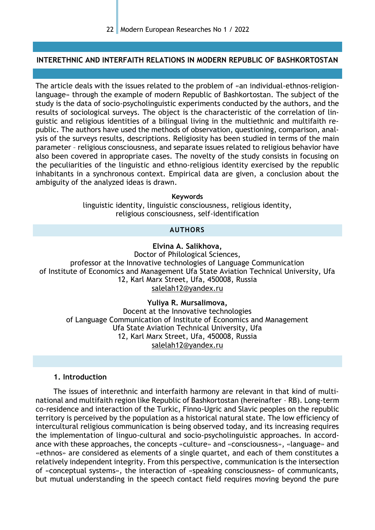# **INTERETHNIC AND INTERFAITH RELATIONS IN MODERN REPUBLIC OF BASHKORTOSTAN**

The article deals with the issues related to the problem of «an individual-ethnos-religionlanguage» through the example of modern Republic of Bashkortostan. The subject of the study is the data of socio-psycholinguistic experiments conducted by the authors, and the results of sociological surveys. The object is the characteristic of the correlation of linguistic and religious identities of a bilingual living in the multiethnic and multifaith republic. The authors have used the methods of observation, questioning, comparison, analysis of the surveys results, descriptions. Religiosity has been studied in terms of the main parameter – religious consciousness, and separate issues related to religious behavior have also been covered in appropriate cases. The novelty of the study consists in focusing on the peculiarities of the linguistic and ethno-religious identity exercised by the republic inhabitants in a synchronous context. Empirical data are given, a conclusion about the ambiguity of the analyzed ideas is drawn.

> **Keywords** linguistic identity, linguistic consciousness, religious identity, religious consciousness, self-identification

#### **AUTHORS**

**Elvina A. Salikhova,** Doctor of Philological Sciences, professor at the Innovative technologies of Language Communication of Institute of Economics and Management Ufa State Aviation Technical University, Ufa 12, Karl Marx Street, Ufa, 450008, Russia [salelah12@yandex.ru](mailto:salelah12@yandex.ru)

> **Yuliya R. Mursalimova,** Docent at the Innovative technologies of Language Communication of Institute of Economics and Management Ufa State Aviation Technical University, Ufa 12, Karl Marx Street, Ufa, 450008, Russia [salelah12@yandex.ru](mailto:salelah12@yandex.ru)

#### **1. Introduction**

The issues of interethnic and interfaith harmony are relevant in that kind of multinational and multifaith region like Republic of Bashkortostan (hereinafter – RB). Long-term co-residence and interaction of the Turkic, Finno-Ugric and Slavic peoples on the republic territory is perceived by the population as a historical natural state. The low efficiency of intercultural religious communication is being observed today, and its increasing requires the implementation of linguo-cultural and socio-psycholinguistic approaches. In accordance with these approaches, the concepts «culture» and «consciousness», «language» and «ethnos» are considered as elements of a single quartet, and each of them constitutes a relatively independent integrity. From this perspective, communication is the intersection of «conceptual systems», the interaction of «speaking consciousness» of communicants, but mutual understanding in the speech contact field requires moving beyond the pure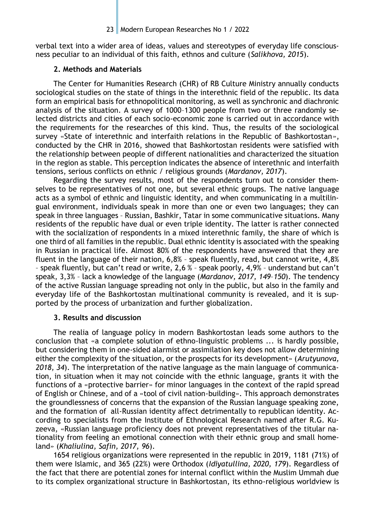verbal text into a wider area of ideas, values and stereotypes of everyday life consciousness peculiar to an individual of this faith, ethnos and culture (*Salikhova, 2015*).

# **2. Methods and Materials**

The Center for Humanities Research (CHR) of RB Culture Ministry annually conducts sociological studies on the state of things in the interethnic field of the republic. Its data form an empirical basis for ethnopolitical monitoring, as well as synchronic and diachronic analysis of the situation. A survey of 1000–1300 people from two or three randomly selected districts and cities of each socio-economic zone is carried out in accordance with the requirements for the researches of this kind. Thus, the results of the sociological survey «State of interethnic and interfaith relations in the Republic of Bashkortostan», conducted by the CHR in 2016, showed that Bashkortostan residents were satisfied with the relationship between people of different nationalities and characterized the situation in the region as stable. This perception indicates the absence of interethnic and interfaith tensions, serious conflicts on ethnic / religious grounds (*Mardanov, 2017*).

Regarding the survey results, most of the respondents turn out to consider themselves to be representatives of not one, but several ethnic groups. The native language acts as a symbol of ethnic and linguistic identity, and when communicating in a multilingual environment, individuals speak in more than one or even two languages; they can speak in three languages – Russian, Bashkir, Tatar in some communicative situations. Many residents of the republic have dual or even triple identity. The latter is rather connected with the socialization of respondents in a mixed interethnic family, the share of which is one third of all families in the republic. Dual ethnic identity is associated with the speaking in Russian in practical life. Almost 80% of the respondents have answered that they are fluent in the language of their nation, 6,8% – speak fluently, read, but cannot write, 4,8% – speak fluently, but can't read or write, 2,6 % – speak poorly, 4,9% – understand but can't speak, 3,3% – lack a knowledge of the language (*Mardanov, 2017, 149*–*150*). The tendency of the active Russian language spreading not only in the public, but also in the family and everyday life of the Bashkortostan multinational community is revealed, and it is supported by the process of urbanization and further globalization.

## **3. Results and discussion**

The realia of language policy in modern Bashkortostan leads some authors to the conclusion that «a complete solution of ethno-linguistic problems ... is hardly possible, but considering them in one-sided alarmist or assimilation key does not allow determining either the complexity of the situation, or the prospects for its development» (*Arutyunova, 2018, 34*). The interpretation of the native language as the main language of communication, in situation when it may not coincide with the ethnic language, grants it with the functions of a «protective barrier» for minor languages in the context of the rapid spread of English or Chinese, and of a «tool of civil nation-building». This approach demonstrates the groundlessness of concerns that the expansion of the Russian language speaking zone, and the formation of all-Russian identity affect detrimentally to republican identity. According to specialists from the Institute of Ethnological Research named after R.G. Kuzeeva, «Russian language proficiency does not prevent representatives of the titular nationality from feeling an emotional connection with their ethnic group and small homeland» (*Khaliulina, Safin, 2017, 96*).

1654 religious organizations were represented in the republic in 2019, 1181 (71%) of them were Islamic, and 365 (22%) were Orthodox (*Idiyatullina, 2020, 179*). Regardless of the fact that there are potential zones for internal conflict within the Muslim Ummah due to its complex organizational structure in Bashkortostan, its ethno-religious worldview is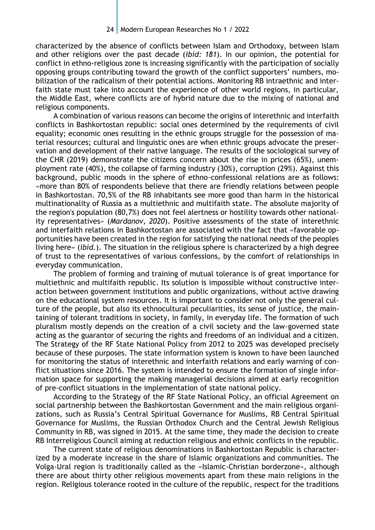characterized by the absence of conflicts between Islam and Orthodoxy, between Islam and other religions over the past decade (*ibid: 181*). In our opinion, the potential for conflict in ethno-religious zone is increasing significantly with the participation of socially opposing groups contributing toward the growth of the conflict supporters' numbers, mobilization of the radicalism of their potential actions. Monitoring RB intraethnic and interfaith state must take into account the experience of other world regions, in particular, the Middle East, where conflicts are of hybrid nature due to the mixing of national and religious components.

A combination of various reasons can become the origins of interethnic and interfaith conflicts in Bashkortostan republic: social ones determined by the requirements of civil equality; economic ones resulting in the ethnic groups struggle for the possession of material resources; cultural and linguistic ones are when ethnic groups advocate the preservation and development of their native language. The results of the sociological survey of the CHR (2019) demonstrate the citizens concern about the rise in prices (65%), unemployment rate (40%), the collapse of farming industry (30%), corruption (29%). Against this background, public moods in the sphere of ethno-confessional relations are as follows: «more than 80% of respondents believe that there are friendly relations between people in Bashkortostan. 70,5% of the RB inhabitants see more good than harm in the historical multinationality of Russia as a multiethnic and multifaith state. The absolute majority of the region's population (80,7%) does not feel alertness or hostility towards other nationality representatives» (*Mardanov, 2020*). Positive assessments of the state of interethnic and interfaith relations in Bashkortostan are associated with the fact that «favorable opportunities have been created in the region for satisfying the national needs of the peoples living here» (*ibid.*). The situation in the religious sphere is characterized by a high degree of trust to the representatives of various confessions, by the comfort of relationships in everyday communication.

The problem of forming and training of mutual tolerance is of great importance for multiethnic and multifaith republic. Its solution is impossible without constructive interaction between government institutions and public organizations, without active drawing on the educational system resources. It is important to consider not only the general culture of the people, but also its ethnocultural peculiarities, its sense of justice, the maintaining of tolerant traditions in society, in family, in everyday life. The formation of such pluralism mostly depends on the creation of a civil society and the law-governed state acting as the guarantor of securing the rights and freedoms of an individual and a citizen. The Strategy of the RF State National Policy from 2012 to 2025 was developed precisely because of these purposes. The state information system is known to have been launched for monitoring the status of interethnic and interfaith relations and early warning of conflict situations since 2016. The system is intended to ensure the formation of single information space for supporting the making managerial decisions aimed at early recognition of pre-conflict situations in the implementation of state national policy.

According to the Strategy of the RF State National Policy, an official Agreement on social partnership between the Bashkortostan Government and the main religious organizations, such as Russia's Central Spiritual Governance for Muslims, RB Central Spiritual Governance for Muslims, the Russian Orthodox Church and the Central Jewish Religious Community in RB, was signed in 2015. At the same time, they made the decision to create RB Interreligious Council aiming at reduction religious and ethnic conflicts in the republic.

The current state of religious denominations in Bashkortostan Republic is characterized by a moderate increase in the share of Islamic organizations and communities. The Volga-Ural region is traditionally called as the «Islamic-Christian borderzone», although there are about thirty other religious movements apart from these main religions in the region. Religious tolerance rooted in the culture of the republic, respect for the traditions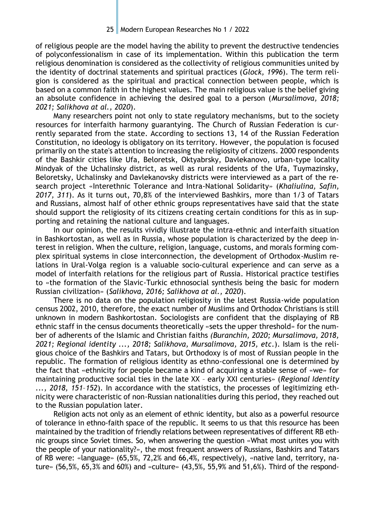of religious people are the model having the ability to prevent the destructive tendencies of polyconfessionalism in case of its implementation. Within this publication the term religious denomination is considered as the collectivity of religious communities united by the identity of doctrinal statements and spiritual practices (*Glock, 1996*). The term religion is considered as the spiritual and practical connection between people, which is based on a common faith in the highest values. The main religious value is the belief giving an absolute confidence in achieving the desired goal to a person (*Mursalimova, 2018; 2021; Salikhova at al., 2020*).

Many researchers point not only to state regulatory mechanisms, but to the society resources for interfaith harmony guarantying. The Church of Russian Federation is currently separated from the state. According to sections 13, 14 of the Russian Federation Constitution, no ideology is obligatory on its territory. However, the population is focused primarily on the state's attention to increasing the religiosity of citizens. 2000 respondents of the Bashkir cities like Ufa, Beloretsk, Oktyabrsky, Davlekanovo, urban-type locality Mindyak of the Uchalinsky district, as well as rural residents of the Ufa, Tuymazinsky, Beloretsky, Uchalinsky and Davlekanovsky districts were interviewed as a part of the research project «Interethnic Tolerance and Intra-National Solidarity» (*Khaliulina, Safin, 2017, 311*). As it turns out, 70,8% of the interviewed Bashkirs, more than 1/3 of Tatars and Russians, almost half of other ethnic groups representatives have said that the state should support the religiosity of its citizens creating certain conditions for this as in supporting and retaining the national culture and languages.

In our opinion, the results vividly illustrate the intra-ethnic and interfaith situation in Bashkortostan, as well as in Russia, whose population is characterized by the deep interest in religion. When the culture, religion, language, customs, and morals forming complex spiritual systems in close interconnection, the development of Orthodox-Muslim relations in Ural-Volga region is a valuable socio-cultural experience and can serve as a model of interfaith relations for the religious part of Russia. Historical practice testifies to «the formation of the Slavic-Turkic ethnosocial synthesis being the basic for modern Russian civilization» (*Salikhova, 2016; Salikhova at al., 2020*).

There is no data on the population religiosity in the latest Russia-wide population census 2002, 2010, therefore, the exact number of Muslims and Orthodox Christians is still unknown in modern Bashkortostan. Sociologists are confident that the displaying of RB ethnic staff in the census documents theoretically «sets the upper threshold» for the number of adherents of the Islamic and Christian faiths *(Buranchin, 2020; Mursalimova, 2018, 2021; Regional identity ..., 2018; Salikhova, Mursalimova, 2015, etc*.). Islam is the religious choice of the Bashkirs and Tatars, but Orthodoxy is of most of Russian people in the republic. The formation of religious identity as ethno-confessional one is determined by the fact that «ethnicity for people became a kind of acquiring a stable sense of «we» for maintaining productive social ties in the late XX – early XXI centuries» (*Regional Identity ..., 2018, 151*–*152*). In accordance with the statistics, the processes of legitimizing ethnicity were characteristic of non-Russian nationalities during this period, they reached out to the Russian population later.

Religion acts not only as an element of ethnic identity, but also as a powerful resource of tolerance in ethno-faith space of the republic. It seems to us that this resource has been maintained by the tradition of friendly relations between representatives of different RB ethnic groups since Soviet times. So, when answering the question «What most unites you with the people of your nationality?», the most frequent answers of Russians, Bashkirs and Tatars of RB were: «language» (65,5%, 72,2% and 66,4%, respectively), «native land, territory, nature» (56,5%, 65,3% and 60%) and «culture» (43,5%, 55,9% and 51,6%). Third of the respond-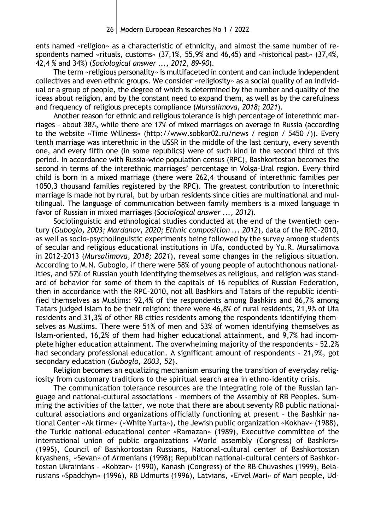ents named «religion» as a characteristic of ethnicity, and almost the same number of respondents named «rituals, customs» (37,1%, 55,9% and 46,45) and «historical past» (37,4%, 42,4 % and 34%) (*Sociological answer ..., 2012, 89–90*).

The term «religious personality» is multifaceted in content and can include independent collectives and even ethnic groups. We consider «religiosity» as a social quality of an individual or a group of people, the degree of which is determined by the number and quality of the ideas about religion, and by the constant need to expand them, as well as by the carefulness and frequency of religious precepts compliance (*Mursalimova, 2018; 2021*).

Another reason for ethnic and religious tolerance is high percentage of interethnic marriages – about 38%, while there are 17% of mixed marriages on average in Russia (according to the website «Time Willness» (http://www.sobkor02.ru/news / region / 5450 /)). Every tenth marriage was interethnic in the USSR in the middle of the last century, every seventh one, and every fifth one (in some republics) were of such kind in the second third of this period. In accordance with Russia-wide population census (RPC), Bashkortostan becomes the second in terms of the interethnic marriages' percentage in Volga-Ural region. Every third child is born in a mixed marriage (there were 262,4 thousand of interethnic families per 1050,3 thousand families registered by the RPC). The greatest contribution to interethnic marriage is made not by rural, but by urban residents since cities are multinational and multilingual. The language of communication between family members is a mixed language in favor of Russian in mixed marriages (*Sociological answer ..., 2012*).

Sociolinguistic and ethnological studies conducted at the end of the twentieth century (*Guboglo, 2003; Mardanov, 2020; Ethnic composition ... 2012*), data of the RPC–2010, as well as socio-psycholinguistic experiments being followed by the survey among students of secular and religious educational institutions in Ufa, conducted by Yu.R. Mursalimova in 2012–2013 (*Mursalimova, 2018; 2021*), reveal some changes in the religious situation. According to M.N. Guboglo, if there were 58% of young people of autochthonous nationalities, and 57% of Russian youth identifying themselves as religious, and religion was standard of behavior for some of them in the capitals of 16 republics of Russian Federation, then in accordance with the RPC–2010, not all Bashkirs and Tatars of the republic identified themselves as Muslims: 92,4% of the respondents among Bashkirs and 86,7% among Tatars judged Islam to be their religion: there were 46,8% of rural residents, 21,9% of Ufa residents and 31,3% of other RB cities residents among the respondents identifying themselves as Muslims. There were 51% of men and 53% of women identifying themselves as Islam-oriented, 16,2% of them had higher educational attainment, and 9,7% had incomplete higher education attainment. The overwhelming majority of the respondents – 52,2% had secondary professional education. A significant amount of respondents – 21,9%, got secondary education (*Guboglo, 2003, 52*).

Religion becomes an equalizing mechanism ensuring the transition of everyday religiosity from customary traditions to the spiritual search area in ethno-identity crisis.

The communication tolerance resources are the integrating role of the Russian language and national-cultural associations – members of the Assembly of RB Peoples. Summing the activities of the latter, we note that there are about seventy RB public nationalcultural associations and organizations officially functioning at present – the Bashkir national Center «Ak tirme» («White Yurta»), the Jewish public organization «Kokhav» (1988), the Turkic national-educational center «Ramazan» (1989), Executive committee of the international union of public organizations «World assembly (Congress) of Bashkirs» (1995), Council of Bashkortostan Russians, National-cultural center of Bashkortostan kryashens, «Sevan» of Armenians (1998); Republican national-cultural centers of Bashkortostan Ukrainians – «Kobzar» (1990), Kanash (Congress) of the RB Chuvashes (1999), Belarusians «Spadchyn» (1996), RB Udmurts (1996), Latvians, «Ervel Mari» of Mari people, Ud-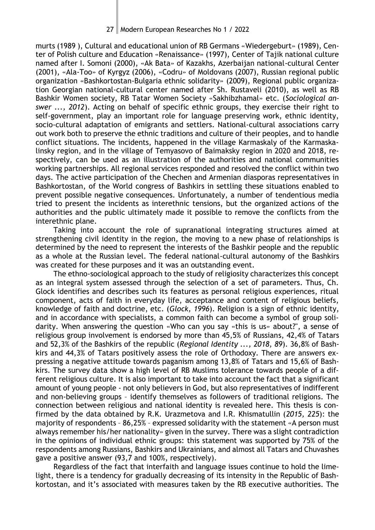murts (1989 ), Cultural and educational union of RB Germans «Wiedergeburt» (1989), Center of Polish culture and Education «Renaissance» (1997), Center of Tajik national culture named after I. Somoni (2000), «Ak Bata» of Kazakhs, Azerbaijan national-cultural Center (2001), «Ala-Too» of Kyrgyz (2006), «Codru» of Moldovans (2007), Russian regional public organization «Bashkortostan-Bulgaria ethnic solidarity» (2009), Regional public organization Georgian national-cultural center named after Sh. Rustaveli (2010), as well as RB Bashkir Women society, RB Tatar Women Society «Sakhibzhamal» etc. (*Sociological answer ..., 2012*). Acting on behalf of specific ethnic groups, they exercise their right to self-government, play an important role for language preserving work, ethnic identity, socio-cultural adaptation of emigrants and settlers. National-cultural associations carry out work both to preserve the ethnic traditions and culture of their peoples, and to handle conflict situations. The incidents, happened in the village Karmaskaly of the Karmaskalinsky region, and in the village of Temyasovo of Baimaksky region in 2020 and 2018, respectively, can be used as an illustration of the authorities and national communities working partnerships. All regional services responded and resolved the conflict within two days. The active participation of the Chechen and Armenian diasporas representatives in Bashkortostan, of the World congress of Bashkirs in settling these situations enabled to prevent possible negative consequences. Unfortunately, a number of tendentious media tried to present the incidents as interethnic tensions, but the organized actions of the authorities and the public ultimately made it possible to remove the conflicts from the interethnic plane.

Taking into account the role of supranational integrating structures aimed at strengthening civil identity in the region, the moving to a new phase of relationships is determined by the need to represent the interests of the Bashkir people and the republic as a whole at the Russian level. The federal national-cultural autonomy of the Bashkirs was created for these purposes and it was an outstanding event.

The ethno-sociological approach to the study of religiosity characterizes this concept as an integral system assessed through the selection of a set of parameters. Thus, Ch. Glock identifies and describes such its features as personal religious experiences, ritual component, acts of faith in everyday life, acceptance and content of religious beliefs, knowledge of faith and doctrine, etc. (*Glock, 1996*). Religion is a sign of ethnic identity, and in accordance with specialists, a common faith can become a symbol of group solidarity. When answering the question «Who can you say «this is us» about?", a sense of religious group involvement is endorsed by more than 45,5% of Russians, 42,4% of Tatars and 52,3% of the Bashkirs of the republic (*Regional Identity ..., 2018, 89*). 36,8% of Bashkirs and 44,3% of Tatars positively assess the role of Orthodoxy. There are answers expressing a negative attitude towards paganism among 13,8% of Tatars and 15,6% of Bashkirs. The survey data show a high level of RB Muslims tolerance towards people of a different religious culture. It is also important to take into account the fact that a significant amount of young people - not only believers in God, but also representatives of indifferent and non-believing groups – identify themselves as followers of traditional religions. The connection between religious and national identity is revealed here. This thesis is confirmed by the data obtained by R.K. Urazmetova and I.R. Khismatullin (*2015, 225*): the majority of respondents – 86,25% – expressed solidarity with the statement «A person must always remember his/her nationality» given in the survey. There was a slight contradiction in the opinions of individual ethnic groups: this statement was supported by 75% of the respondents among Russians, Bashkirs and Ukrainians, and almost all Tatars and Chuvashes gave a positive answer (93,7 and 100%, respectively).

Regardless of the fact that interfaith and language issues continue to hold the limelight, there is a tendency for gradually decreasing of its intensity in the Republic of Bashkortostan, and it's associated with measures taken by the RB executive authorities. The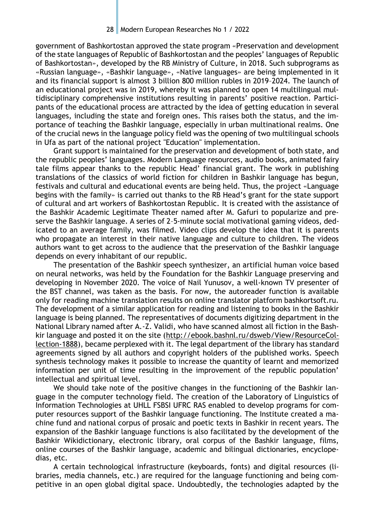government of Bashkortostan approved the state program «Preservation and development of the state languages of Republic of Bashkortostan and the peoples' languages of Republic of Bashkortostan», developed by the RB Ministry of Culture, in 2018. Such subprograms as «Russian language», «Bashkir language», «Native languages» are being implemented in it and its financial support is almost 3 billion 800 million rubles in 2019–2024. The launch of an educational project was in 2019, whereby it was planned to open 14 multilingual multidisciplinary comprehensive institutions resulting in parents' positive reaction. Participants of the educational process are attracted by the idea of getting education in several languages, including the state and foreign ones. This raises both the status, and the importance of teaching the Bashkir language, especially in urban multinational realms. One of the crucial news in the language policy field was the opening of two multilingual schools in Ufa as part of the national project "Education" implementation.

Grant support is maintained for the preservation and development of both state, and the republic peoples' languages. Modern Language resources, audio books, animated fairy tale films appear thanks to the republic Head' financial grant. The work in publishing translations of the classics of world fiction for children in Bashkir language has begun, festivals and cultural and educational events are being held. Thus, the project «Language begins with the family» is carried out thanks to the RB Head's grant for the state support of cultural and art workers of Bashkortostan Republic. It is created with the assistance of the Bashkir Academic Legitimate Theater named after M. Gafuri to popularize and preserve the Bashkir language. A series of 2–5-minute social motivational gaming videos, dedicated to an average family, was filmed. Video clips develop the idea that it is parents who propagate an interest in their native language and culture to children. The videos authors want to get across to the audience that the preservation of the Bashkir language depends on every inhabitant of our republic.

The presentation of the Bashkir speech synthesizer, an artificial human voice based on neural networks, was held by the Foundation for the Bashkir Language preserving and developing in November 2020. The voice of Nail Yunusov, a well-known TV presenter of the BST channel, was taken as the basis. For now, the autoreader function is available only for reading machine translation results on online translator platform bashkortsoft.ru. The development of a similar application for reading and listening to books in the Bashkir language is being planned. The representatives of documents digitizing department in the National Library named after A.-Z. Validi, who have scanned almost all fiction in the Bashkir language and posted it on the site [\(http://ebook.bashnl.ru/dsweb/View/ResourceCol](http://ebook.bashnl.ru/dsweb/View/ResourceCollection-1888)[lection-1888\)](http://ebook.bashnl.ru/dsweb/View/ResourceCollection-1888), became perplexed with it. The legal department of the library has standard agreements signed by all authors and copyright holders of the published works. Speech synthesis technology makes it possible to increase the quantity of learnt and memorized information per unit of time resulting in the improvement of the republic population' intellectual and spiritual level.

We should take note of the positive changes in the functioning of the Bashkir language in the computer technology field. The creation of the Laboratory of Linguistics of Information Technologies at UHLL FSBSI UFRC RAS enabled to develop programs for computer resources support of the Bashkir language functioning. The Institute created a machine fund and national corpus of prosaic and poetic texts in Bashkir in recent years. The expansion of the Bashkir language functions is also facilitated by the development of the Bashkir Wikidictionary, electronic library, oral corpus of the Bashkir language, films, online courses of the Bashkir language, academic and bilingual dictionaries, encyclopedias, etc.

A certain technological infrastructure (keyboards, fonts) and digital resources (libraries, media channels, etc.) are required for the language functioning and being competitive in an open global digital space. Undoubtedly, the technologies adapted by the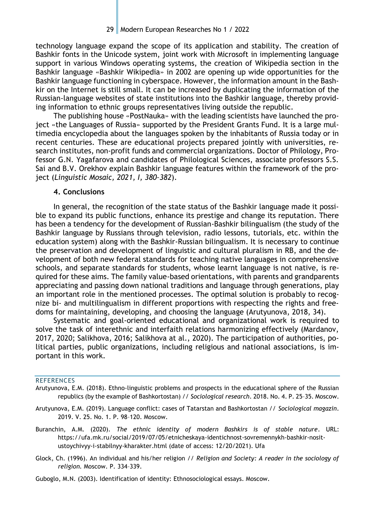technology language expand the scope of its application and stability. The creation of Bashkir fonts in the Unicode system, joint work with Microsoft in implementing language support in various Windows operating systems, the creation of Wikipedia section in the Bashkir language «Bashkir Wikipedia» in 2002 are opening up wide opportunities for the Bashkir language functioning in cyberspace. However, the information amount in the Bashkir on the Internet is still small. It can be increased by duplicating the information of the Russian-language websites of state institutions into the Bashkir language, thereby providing information to ethnic groups representatives living outside the republic.

The publishing house «PostNauka» with the leading scientists have launched the project «the Languages of Russia» supported by the President Grants Fund. It is a large multimedia encyclopedia about the languages spoken by the inhabitants of Russia today or in recent centuries. These are educational projects prepared jointly with universities, research institutes, non-profit funds and commercial organizations. Doctor of Philology, Professor G.N. Yagafarova and candidates of Philological Sciences, associate professors S.S. Sai and B.V. Orekhov explain Bashkir language features within the framework of the project (*Linguistic Mosaic, 2021, I, 380–382*).

# **4. Conclusions**

In general, the recognition of the state status of the Bashkir language made it possible to expand its public functions, enhance its prestige and change its reputation. There has been a tendency for the development of Russian-Bashkir bilingualism (the study of the Bashkir language by Russians through television, radio lessons, tutorials, etc. within the education system) along with the Bashkir-Russian bilingualism. It is necessary to continue the preservation and development of linguistic and cultural pluralism in RB, and the development of both new federal standards for teaching native languages in comprehensive schools, and separate standards for students, whose learnt language is not native, is required for these aims. The family value-based orientations, with parents and grandparents appreciating and passing down national traditions and language through generations, play an important role in the mentioned processes. The optimal solution is probably to recognize bi- and multilingualism in different proportions with respecting the rights and freedoms for maintaining, developing, and choosing the language (Arutyunova, 2018, 34).

Systematic and goal-oriented educational and organizational work is required to solve the task of interethnic and interfaith relations harmonizing effectively (Mardanov, 2017, 2020; Salikhova, 2016; Salikhova at al., 2020). The participation of authorities, political parties, public organizations, including religious and national associations, is important in this work.

#### **REFERENCES**

- Arutyunova, E.M. (2018). Ethno-linguistic problems and prospects in the educational sphere of the Russian republics (by the example of Bashkortostan) // *Sociological research*. 2018. No. 4. P. 25–35. Moscow.
- Arutyunova, E.M. (2019). Language conflict: cases of Tatarstan and Bashkortostan // *Sociological magazin*. 2019. V. 25. No. 1. P. 98–120. Moscow.
- Buranchin, A.M. (2020). *The ethnic identity of modern Bashkirs is of stable nature*. URL: https://ufa.mk.ru/social/2019/07/05/etnicheskaya-identichnost-sovremennykh-bashkir-nositustoychivyy-i-stabilnyy-kharakter.html (date of access: 12/20/2021). Ufa
- Glock, Ch. (1996). An individual and his/her religion // *Religion and Society: A reader in the sociology of religion.* Moscow. P. 334–339.
- Guboglo, M.N. (2003). Identification of identity: Ethnosociological essays. Moscow.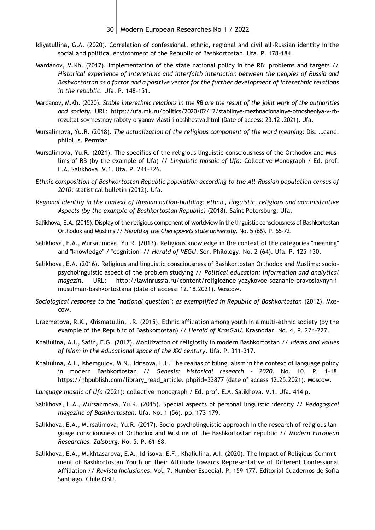- Idiyatullina, G.A. (2020). Correlation of confessional, ethnic, regional and civil all-Russian identity in the social and political environment of the Republic of Bashkortostan. Ufa. P. 178–184.
- Mardanov, M.Kh. (2017). Implementation of the state national policy in the RB: problems and targets // *Historical experience of interethnic and interfaith interaction between the peoples of Russia and Bashkortostan as a factor and a positive vector for the further development of interethnic relations in the republic*. Ufa. P. 148–151.
- Mardanov, M.Kh. (2020). *Stable interethnic relations in the RB are the result of the joint work of the authorities and society*. URL: https://ufa.mk.ru/politics/2020/02/12/stabilnye-mezhnacionalnye-otnosheniya-v-rbrezultat-sovmestnoy-raboty-organov-vlasti-i-obshhestva.html (Date of access: 23.12 .2021). Ufa.
- Mursalimova, Yu.R. (2018). *The actualization of the religious component of the word meaning*: Dis. …cand. philol. s. Permian.
- Mursalimova, Yu.R. (2021). The specifics of the religious linguistic consciousness of the Orthodox and Muslims of RB (by the example of Ufa) // *Linguistic mosaic of Ufa*: Collective Monograph / Ed. prof. E.A. Salikhova. V.1. Ufa. P. 241–326.
- *Ethnic composition of Bashkortostan Republic population according to the All-Russian population census of 2010*: statistical bulletin (2012). Ufa.
- *Regional Identity in the context of Russian nation-building: ethnic, linguistic, religious and administrative Aspects (by the example of Bashkortostan Republic)* (2018). Saint Petersburg; Ufa.
- Salikhova, E.A. (2015). Display of the religious component of worldview in the linguistic consciousness of Bashkortostan Orthodox and Muslims // *Herald of the Cherepovets state university*. No. 5 (66). P. 65–72.
- Salikhova, E.A., Mursalimova, Yu.R. (2013). Religious knowledge in the context of the categories "meaning" and "knowledge" / "cognition" // *Herald of VEGU*. Ser. Philology. No. 2 (64). Ufa. P. 125–130.
- Salikhova, E.A. (2016). Religious and linguistic consciousness of Bashkortostan Orthodox and Muslims: sociopsycholinguistic aspect of the problem studying // *Political education: information and analytical magazin*. URL: http://lawinrussia.ru/content/religioznoe-yazykovoe-soznanie-pravoslavnyh-imusulman-bashkortostana (date of access: 12.18.2021). Moscow.
- *Sociological response to the "national question": as exemplified in Republic of Bashkortostan* (2012). Moscow.
- Urazmetova, R.K., Khismatullin, I.R. (2015). Ethnic affiliation among youth in a multi-ethnic society (by the example of the Republic of Bashkortostan) // *Herald of KrasGAU*. Krasnodar. No. 4, P. 224–227.
- Khaliulina, A.I., Safin, F.G. (2017). Mobilization of religiosity in modern Bashkortostan // *Ideals and values of Islam in the educational space of the XXI century*. Ufa. P. 311–317.
- Khaliulina, A.I., Ishemgulov, M.N., Idrisova, E.F. The realias of bilingualism in the context of language policy in modern Bashkortostan // *Genesis: historical research – 2020*. No. 10. P. 1–18. https://nbpublish.com/library\_read\_article. php?id=33877 (date of access 12.25.2021). Moscow.
- *Language mosaic of Ufa* (2021): collective monograph / Ed. prof. E.A. Salikhova. V.1. Ufa. 414 p.
- Salikhova, E.A., Mursalimova, Yu.R. (2015). Special aspects of personal linguistic identity // *Pedagogical magazine of Bashkortostan*. Ufa. No. 1 (56). pp. 173–179.
- Salikhova, E.A., Mursalimova, Yu.R. (2017). Socio-psycholinguistic approach in the research of religious language consciousness of Orthodox and Muslims of the Bashkortostan republic // *Modern European Researches. Zalsburg*. No. 5. P. 61–68.
- Salikhova, E.A., Mukhtasarova, E.A., Idrisova, E.F., Khaliulina, A.I. (2020). The Impact of Religious Commitment of Bashkortostan Youth on their Attitude towards Representative of Different Confessional Affiliation // *Revista Inclusiones*. Vol. 7. Number Especial. P. 159–177. Editorial Cuadernos de Sofia Santiago. Chile OBU.